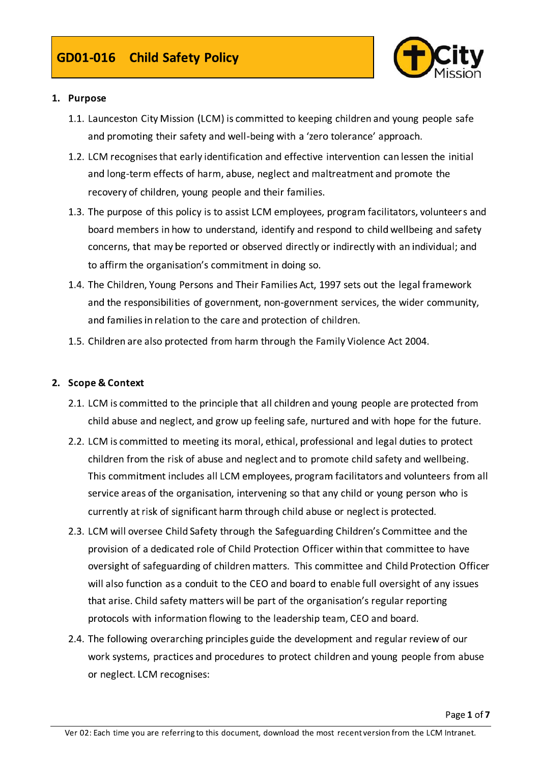

# 1. Purpose

- 1.1. Launceston City Mission (LCM) is committed to keeping children and young people safe and promoting their safety and well-being with a 'zero tolerance' approach.
- 1.2. LCM recognises that early identification and effective intervention can lessen the initial and long-term effects of harm, abuse, neglect and maltreatment and promote the recovery of children, young people and their families.
- 1.3. The purpose of this policy is to assist LCM employees, program facilitators, volunteers and board members in how to understand, identify and respond to child wellbeing and safety concerns, that may be reported or observed directly or indirectly with an individual; and to affirm the organisation's commitment in doing so.
- 1.4. The Children, Young Persons and Their Families Act, 1997 sets out the legal framework and the responsibilities of government, non-government services, the wider community, and families in relation to the care and protection of children.
- 1.5. Children are also protected from harm through the Family Violence Act 2004.

#### 2. Scope & Context

- 2.1. LCM is committed to the principle that all children and young people are protected from child abuse and neglect, and grow up feeling safe, nurtured and with hope for the future.
- 2.2. LCM is committed to meeting its moral, ethical, professional and legal duties to protect children from the risk of abuse and neglect and to promote child safety and wellbeing. This commitment includes all LCM employees, program facilitators and volunteers from all service areas of the organisation, intervening so that any child or young person who is currently at risk of significant harm through child abuse or neglect is protected.
- 2.3. LCM will oversee Child Safety through the Safeguarding Children's Committee and the provision of a dedicated role of Child Protection Officer within that committee to have oversight of safeguarding of children matters. This committee and Child Protection Officer will also function as a conduit to the CEO and board to enable full oversight of any issues that arise. Child safety matters will be part of the organisation's regular reporting protocols with information flowing to the leadership team, CEO and board.
- 2.4. The following overarching principles guide the development and regular review of our work systems, practices and procedures to protect children and young people from abuse or neglect. LCM recognises: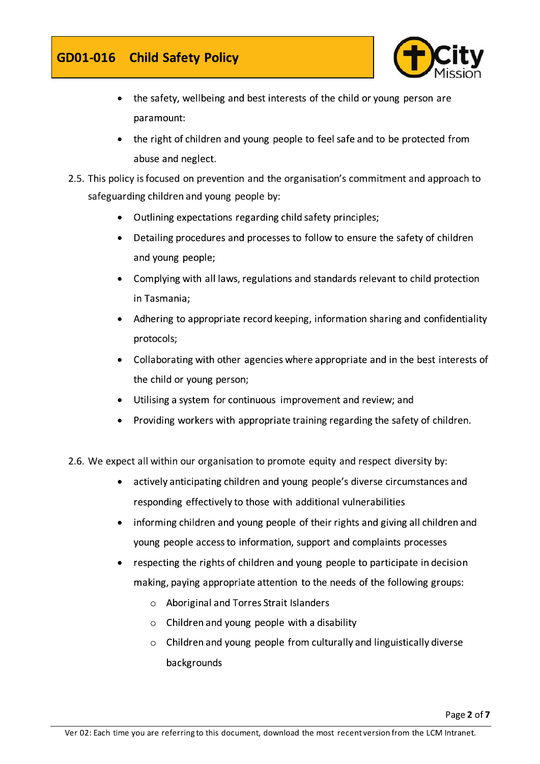# GD01-016 Child Safety Policy



- the safety, wellbeing and best interests of the child or young person are  $\bullet$ paramount:
- the right of children and young people to feel safe and to be protected from abuse and neglect.
- 2.5. This policy is focused on prevention and the organisation's commitment and approach to safeguarding children and young people by:
	- Outlining expectations regarding child safety principles;
	- Detailing procedures and processes to follow to ensure the safety of children and young people;
	- Complying with all laws, regulations and standards relevant to child protection in Tasmania;
	- Adhering to appropriate record keeping, information sharing and confidentiality protocols;
	- Collaborating with other agencies where appropriate and in the best interests of the child or young person;
	- Utilising a system for continuous improvement and review; and
	- Providing workers with appropriate training regarding the safety of children.
- 2.6. We expect all within our organisation to promote equity and respect diversity by:
	- actively anticipating children and young people's diverse circumstances and  $\bullet$ responding effectively to those with additional vulnerabilities
	- informing children and young people of their rights and giving all children and  $\bullet$ young people access to information, support and complaints processes
	- respecting the rights of children and young people to participate in decision making, paying appropriate attention to the needs of the following groups:
		- $\circ$  Aboriginal and Torres Strait Islanders
		- $\circ$  Children and young people with a disability
		- o Children and young people from culturally and linguistically diverse backgrounds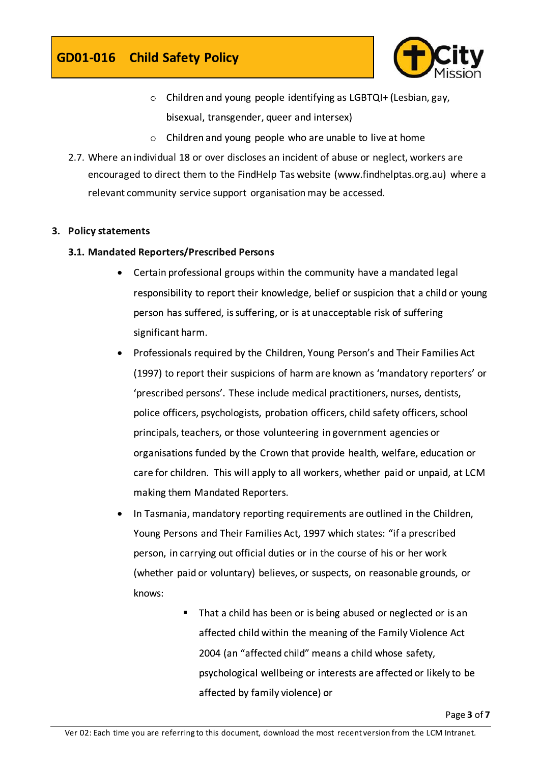

- o Children and young people identifying as LGBTQI+ (Lesbian, gay, bisexual, transgender, queer and intersex)
- $\circ$  Children and young people who are unable to live at home
- 2.7. Where an individual 18 or over discloses an incident of abuse or neglect, workers are encouraged to direct them to the FindHelp Tas website (www.findhelptas.org.au) where a relevant community service support organisation may be accessed.

# 3. Policy statements

# 3.1. Mandated Reporters/Prescribed Persons

- Certain professional groups within the community have a mandated legal responsibility to report their knowledge, belief or suspicion that a child or young person has suffered, is suffering, or is at unacceptable risk of suffering significant harm.
- Professionals required by the Children, Young Person's and Their Families Act (1997) to report their suspicions of harm are known as 'mandatory reporters' or 'prescribed persons'. These include medical practitioners, nurses, dentists, police officers, psychologists, probation officers, child safety officers, school principals, teachers, or those volunteering in government agencies or organisations funded by the Crown that provide health, welfare, education or care for children. This will apply to all workers, whether paid or unpaid, at LCM making them Mandated Reporters.
- In Tasmania, mandatory reporting requirements are outlined in the Children, Young Persons and Their Families Act, 1997 which states: "if a prescribed person, in carrying out official duties or in the course of his or her work (whether paid or voluntary) believes, or suspects, on reasonable grounds, or knows:
	- That a child has been or is being abused or neglected or is an affected child within the meaning of the Family Violence Act 2004 (an "affected child" means a child whose safety, psychological wellbeing or interests are affected or likely to be affected by family violence) or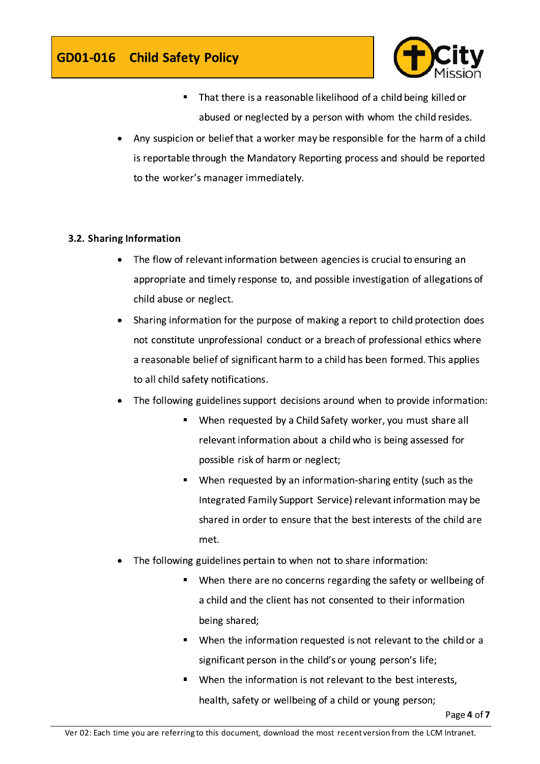

- That there is a reasonable likelihood of a child being killed or abused or neglected by a person with whom the child resides.
- Any suspicion or belief that a worker may be responsible for the harm of a child is reportable through the Mandatory Reporting process and should be reported to the worker's manager immediately.

# 3.2. Sharing Information

- The flow of relevant information between agencies is crucial to ensuring an appropriate and timely response to, and possible investigation of allegations of child abuse or neglect.
- Sharing information for the purpose of making a report to child protection does  $\bullet$ not constitute unprofessional conduct or a breach of professional ethics where a reasonable belief of significant harm to a child has been formed. This applies to all child safety notifications.
- The following guidelines support decisions around when to provide information:
	- When requested by a Child Safety worker, you must share all relevant information about a child who is being assessed for possible risk of harm or neglect;
	- When requested by an information-sharing entity (such as the Integrated Family Support Service) relevant information may be shared in order to ensure that the best interests of the child are met.
- The following guidelines pertain to when not to share information:
	- " When there are no concerns regarding the safety or wellbeing of a child and the client has not consented to their information being shared;
	- " When the information requested is not relevant to the child or a significant person in the child's or young person's life;
	- When the information is not relevant to the best interests, health, safety or wellbeing of a child or young person;

Page 4 of 7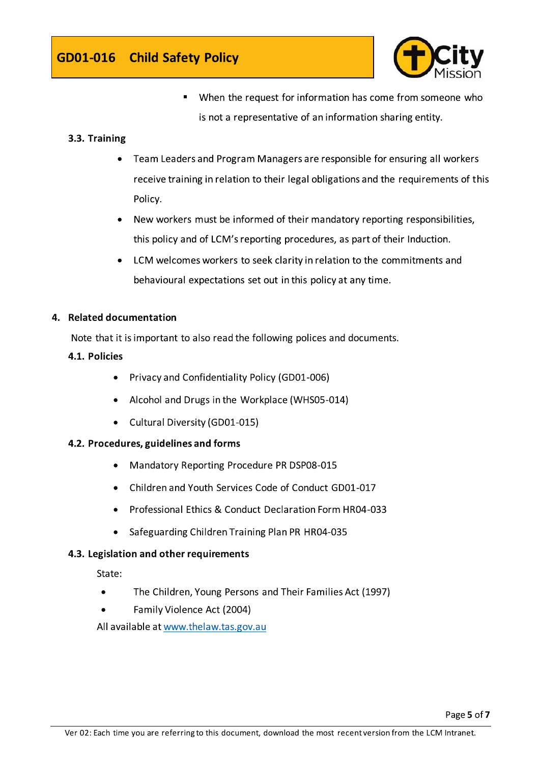

When the request for information has come from someone who is not a representative of an information sharing entity.

# 3.3. Training

- Team Leaders and Program Managers are responsible for ensuring all workers  $\bullet$ receive training in relation to their legal obligations and the requirements of this Policy.
- New workers must be informed of their mandatory reporting responsibilities,  $\bullet$ this policy and of LCM's reporting procedures, as part of their Induction.
- LCM welcomes workers to seek clarity in relation to the commitments and  $\bullet$ behavioural expectations set out in this policy at any time.

# 4. Related documentation

Note that it is important to also read the following polices and documents.

# 4.1. Policies

- Privacy and Confidentiality Policy (GD01-006)
- Alcohol and Drugs in the Workplace (WHS05-014)
- Cultural Diversity (GD01-015)

# 4.2. Procedures, guidelines and forms

- Mandatory Reporting Procedure PR DSP08-015  $\bullet$
- Children and Youth Services Code of Conduct GD01-017
- Professional Ethics & Conduct Declaration Form HR04-033
- Safeguarding Children Training Plan PR HR04-035  $\bullet$

# 4.3. Legislation and other requirements

State:

- The Children, Young Persons and Their Families Act (1997)
- Family Violence Act (2004)

All available at www.thelaw.tas.gov.au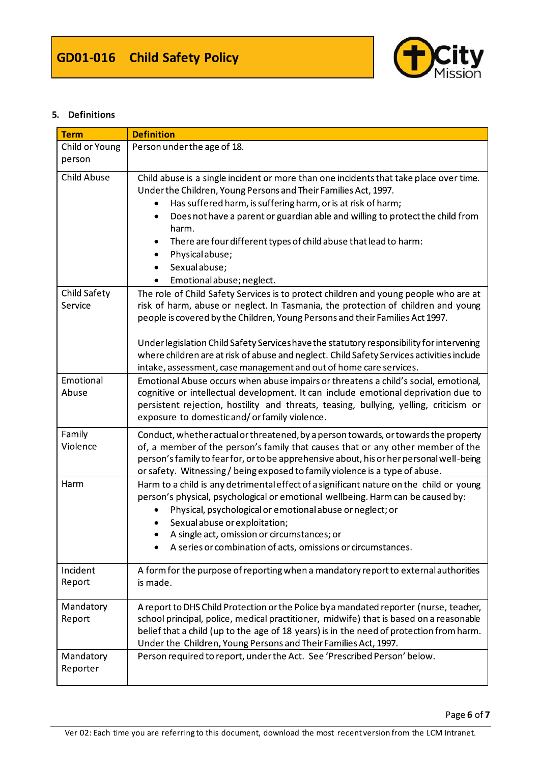

#### 5. Definitions

| <b>Term</b>                    | <b>Definition</b>                                                                                                                                                                                                                                                                                                                                                                                                                                                                                                          |  |  |  |  |  |  |
|--------------------------------|----------------------------------------------------------------------------------------------------------------------------------------------------------------------------------------------------------------------------------------------------------------------------------------------------------------------------------------------------------------------------------------------------------------------------------------------------------------------------------------------------------------------------|--|--|--|--|--|--|
| Child or Young                 | Person under the age of 18.                                                                                                                                                                                                                                                                                                                                                                                                                                                                                                |  |  |  |  |  |  |
| person                         |                                                                                                                                                                                                                                                                                                                                                                                                                                                                                                                            |  |  |  |  |  |  |
| <b>Child Abuse</b>             | Child abuse is a single incident or more than one incidents that take place over time.<br>Under the Children, Young Persons and Their Families Act, 1997.<br>Has suffered harm, is suffering harm, or is at risk of harm;<br>Does not have a parent or guardian able and willing to protect the child from<br>٠<br>harm.<br>There are four different types of child abuse that lead to harm:<br>٠<br>Physical abuse;<br>$\bullet$<br>Sexual abuse;<br>$\bullet$<br>Emotional abuse; neglect.<br>$\bullet$                  |  |  |  |  |  |  |
| <b>Child Safety</b><br>Service | The role of Child Safety Services is to protect children and young people who are at<br>risk of harm, abuse or neglect. In Tasmania, the protection of children and young<br>people is covered by the Children, Young Persons and their Families Act 1997.<br>Under legislation Child Safety Services have the statutory responsibility for intervening<br>where children are at risk of abuse and neglect. Child Safety Services activities include<br>intake, assessment, case management and out of home care services. |  |  |  |  |  |  |
| Emotional<br>Abuse             | Emotional Abuse occurs when abuse impairs or threatens a child's social, emotional,<br>cognitive or intellectual development. It can include emotional deprivation due to<br>persistent rejection, hostility and threats, teasing, bullying, yelling, criticism or<br>exposure to domestic and/or family violence.                                                                                                                                                                                                         |  |  |  |  |  |  |
| Family<br>Violence             | Conduct, whether actual or threatened, by a person towards, or towards the property<br>of, a member of the person's family that causes that or any other member of the<br>person's family to fear for, or to be apprehensive about, his or her personal well-being<br>or safety. Witnessing/being exposed to family violence is a type of abuse.                                                                                                                                                                           |  |  |  |  |  |  |
| Harm                           | Harm to a child is any detrimental effect of a significant nature on the child or young<br>person's physical, psychological or emotional wellbeing. Harm can be caused by:<br>Physical, psychological or emotional abuse or neglect; or<br>Sexual abuse or exploitation;<br>A single act, omission or circumstances; or<br>A series or combination of acts, omissions or circumstances.                                                                                                                                    |  |  |  |  |  |  |
| Incident<br>Report             | A form for the purpose of reporting when a mandatory report to external authorities<br>is made.                                                                                                                                                                                                                                                                                                                                                                                                                            |  |  |  |  |  |  |
| Mandatory<br>Report            | A report to DHS Child Protection or the Police by a mandated reporter (nurse, teacher,<br>school principal, police, medical practitioner, midwife) that is based on a reasonable<br>belief that a child (up to the age of 18 years) is in the need of protection from harm.<br>Under the Children, Young Persons and Their Families Act, 1997.                                                                                                                                                                             |  |  |  |  |  |  |
| Mandatory<br>Reporter          | Person required to report, under the Act. See 'Prescribed Person' below.                                                                                                                                                                                                                                                                                                                                                                                                                                                   |  |  |  |  |  |  |